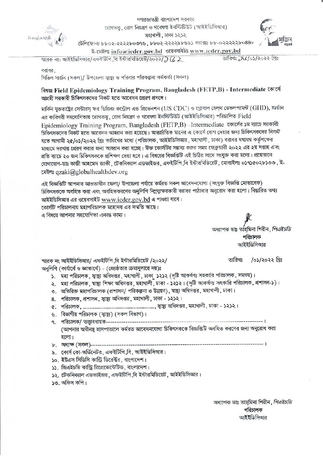

গণপ্রজাত্তরী বাংলাদেশ সরকার রোগতত্তু, রোগ নিয়ন্ত্রণ ও গবেষণা ইনস্টিটিউট (আইইডিসিআর) মহাখালী, ঢাকা ১২১২



টেলিফোনঃ ৮৮০২-২২২২৮০৩৭৬, ৮৮০২-২২২২৯৮৬৯১ ফ্যাক্সঃ ৮৮-০২২২২২৮০৪৪০

ই-মেইলঃ info@iedcr.gov.bd ওয়েবসাইটঃ www.ieder.gov.bd

তারিখঃ ১৫/০১/২০২২ খ্রিঃ ম্মারক নং: আইইডিসিআর/এফইটিপি বি ইন্টারমিডিয়েট/২০২২/ $\beta$  (2 2)

#### বরাবর

সিভিল সার্জন (সকল)/ উপজেলা স্বায়্য ও পরিবার পরিকল্পনা কর্মকর্তা (সকল)

#### বিষয়ঃ Field Epidemiology Training Program, Bangladesh (FETP, B) - Intermediate কোৰ্সে আগ্রহী সরকারী চিকিৎসকদের নিকট হতে আবেদন প্রেরণ প্রসঙ্গে।

মার্কিন যুক্তরাষ্ট্রের সেন্টারস ফর ডিজিজ কন্ট্রোল এন্ড প্রিভেনশন (US CDC) ও গ্রোবাল হেল্থ ডেভলপমেন্ট (GHD), জর্ডান এর কারিগরী সহযোগিতায় রোগতত্ত, রোগ নিয়ন্ত্রণ ও গবেষণা ইনস্টিটিউট (আইইডিসিআর) পরিচালিত Field Epidemiology Training Program, Bangladesh (FETP, B) - Intermediate কোর্সের ১ম ব্যাচে সরকারী চিকিৎসকদের নিকট হতে আবেদন আহ্বান করা হয়েছে। আন্তর্জাতিক মানের এ কোর্সে যোগ দেয়ার জন্য চিকিৎসকদের নিকট হতে আগামী ২৫/০১/২০২২ খ্রিঃ তারিখের মধ্যে (পরিচালক, আইইডিসিআর, মহাখালী, ঢাকা) বরাবর যথাযথ কর্তৃপক্ষের মাধ্যমে দরখান্ত প্রেরণ করার জন্য আহ্বান করা হচ্ছে। উক্ত কোর্সটির সম্ভাব্য শুরুর সময় ফেব্রুয়ারী ২০২২ এর ২য় সপ্তাহ এবং প্রতি ব্যাচে ২০ জন চিকিৎসককে প্রশিক্ষণ দেয়া হবে। এ বিষয়ের বিজ্ঞপ্তিটি এই চিঠির সাথে সংযুক্ত করা হলো। প্রয়োজনে যোগাযোগ-ডাঃ কাজী আহমেদ জাকী, টেকনিক্যাল এডভাইজর, এফইটিপি,বি ইন্টারমিডিয়েট, মোবাইলঃ ০১৭১৫০২৮১৩৩, ই-মেইলঃ qzaki@globalhealthdev.org

এই বিজ্ঞপ্তিটি আপনার আওতাধীন জেলা/ উপজেলা পর্যায়ে কর্মরত সকল আবেদনযোগ্য (সংযুক্ত বিজ্ঞপ্তি মোতাবেক) চিকিৎসককে অবহিত করা এবং অবহিতকরণের অনুলিপি নিম্নস্বাক্ষরকারী বরাবর পাঠাবার অনুরোধ করা হলো। বিস্তারিত তথ্য আইইডিসিআর এর ওয়েবসাইট www.jedcr.gov.bd এ পাওয়া যাবে। কোর্সটি পরিচালনায় মহাপরিচালক মহোদয় এর সম্মতি আছে।

এ বিষয়ে আপনার সহযোগিতা একান্ত কাম্য।

অধ্যাপক ডাঃ তাহমিনা শিরীন, *পিএইচডি* পরিচালক আইইডিসিআর

/০১/২০২২ খ্ৰিঃ তারিখঃ

স্মারক নং আইইডিসিআর/ এফইটিপি বি ইন্টারমিডিয়েট /২০২২/ অনলিপি (কার্যার্থে ও জ্ঞাতার্থে) - (জ্যেষ্ঠতার ক্রমানুসারে নয়)ঃ

- ১. মহা পরিচালক, স্বাষ্থ্য অধিদপ্তর, মহাখালী, ঢাকা ১২১২ (দৃষ্টি আকর্ষণঃ সহকারি পরিচালক, সমন্বয়)।
- ২. মহা পরিচালক, স্বাষ্থ্য শিক্ষা অধিদপ্তর, মহাখালী, ঢাকা ১২১২। (দৃষ্টি আকর্ষণঃ সহকারি পরিচালক, প্রশাসন-১)।
- ৩. অতিরিক্ত মহাপরিচালক (প্রশাসন/ পরিকল্পনা ও উন্নয়ন), শ্বাস্থ্য অধিদপ্তর, মহাখালী, ঢাকা।
- 8. পরিচালক, প্রশাসন, স্বায়্য অধিদপ্তর, মহাখালী, ঢাকা ১২১২।
- 
- ৬. বিভাগীয় পরিচালক (স্বাষ্যু) (সকল বিভাগ)।
- <u>৭. পরিচালক/ তত্তাবধায়ক----------------</u> (আপনার অধীনন্থ হাসপাতালে কর্মরত আবেদনযোগ্য চিকিৎসককে বিজ্ঞপ্তিটি অবহিত করণের জন্য অনুরোধ করা হলো।
- ৮. অধ্যক্ষ (সকল)-------------------------------
- ৯. কোর্স কো-অর্ডিনেটর, এফইটিপি,বি, আইইডিসিআর।
- ১০. ইউএস সিডিসি কান্ট্রি ডিরেক্টর, বাংলাদেশ।
- ১১. জিএইচডি কান্ট্রি রিপ্রেজেন্টেটিভ, বাংলাদেশ।
- ১২. টেকনিক্যাল এডভাইজর, এফইটিপি,বি ইন্টারমিডিয়েট, আইইডিসিআর।
- ১৩. অফিস কপি।

অধ্যাপক ডাঃ তাহমিনা শিরীন, *পিএইচডি* পরিচালক আইইডিসিআর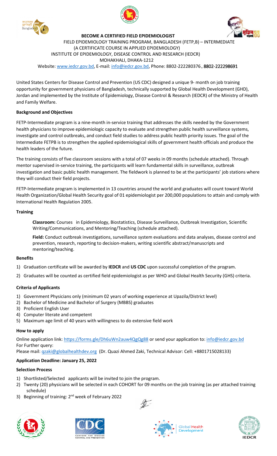



 **BECOME A CERTIFIED FIELD EPIDEMIOLOGIST** FIELD EPIDEMIOLOGY TRAINING PROGRAM, BANGLADESH (FETP,B) – INTERMEDIATE (A CERTIFICATE COURSE IN APPLIED EPIDEMIOLOGY) INSTITUTE OF EPIDEMIOLOGY, DISEASE CONTROL AND RESEARCH (IEDCR) MOHAKHALI, DHAKA-1212 Website: www.iedcr.gov.bd, E-mail: info@iedcr.gov.bd, Phone: 8802-222280376**,** 8802**-**222298691

United States Centers for Disease Control and Prevention (US CDC) designed a unique 9- month on job training opportunity for government physicians of Bangladesh, technically supported by Global Health Development (GHD), Jordan and implemented by the Institute of Epidemiology, Disease Control & Research (IEDCR) of the Ministry of Health and Family Welfare.

### **Background and Objectives**

FETP-Intermediate program is a nine-month in-service training that addresses the skills needed by the Government health physicians to improve epidemiologic capacity to evaluate and strengthen public health surveillance systems, investigate and control outbreaks, and conduct field studies to address public health priority issues. The goal of the Intermediate FETPB is to strengthen the applied epidemiological skills of government health officials and produce the health leaders of the future.

The training consists of five classroom sessions with a total of 07 weeks in 09 months (schedule attached). Through mentor supervised in-service training, the participants will learn fundamental skills in surveillance, outbreak investigation and basic public health management. The fieldwork is planned to be at the participants' job stations where they will conduct their field projects.

FETP-Intermediate program is implemented in 13 countries around the world and graduates will count toward World Health Organization/Global Health Security goal of 01 epidemiologist per 200,000 populations to attain and comply with International Health Regulation 2005.

#### **Training**

**Classroom:** Courses in Epidemiology, Biostatistics, Disease Surveillance, Outbreak Investigation, Scientific Writing/Communications, and Mentoring/Teaching (schedule attached).

**Field:** Conduct outbreak investigations, surveillance system evaluations and data analyses, disease control and prevention, research, reporting to decision-makers, writing scientific abstract/manuscripts and mentoring/teaching.

#### **Benefits**

- 1) Graduation certificate will be awarded by **IEDCR** and **US CDC** upon successful completion of the program.
- 2) Graduates will be counted as certified field epidemiologist as per WHO and Global Health Security (GHS) criteria.

# **Criteria of Applicants**

- 1) Government Physicians only (minimum 02 years of working experience at Upazila/District level)
- 2) Bachelor of Medicine and Bachelor of Surgery (MBBS) graduates
- 3) Proficient English User
- 4) Computer literate and competent
- 5) Maximum age limit of 40 years with willingness to do extensive field work

#### **How to apply**

Online application link: https://forms.gle/Dh6uWn2auw4QgQg88 or send your application to: info@iedcr.gov.bd For Further query:

Please mail: qzaki@globalhealthdev.org (Dr. Quazi Ahmed Zaki, Technical Advisor: Cell: +8801715028133)

# **Application Deadline: January 25, 2022**

#### **Selection Process**

- 1) Shortlisted/Selected applicants will be invited to join the program.
- 2) Twenty (20) physicians will be selected in each COHORT for 09 months on the job training (as per attached training schedule)
- 3) Beginning of training: 2<sup>nd</sup> week of February 2022









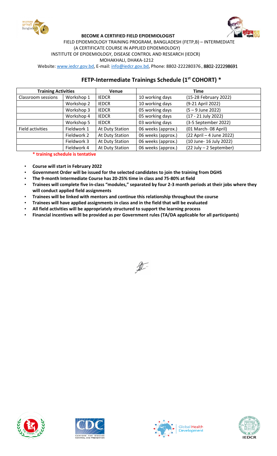



#### **BECOME A CERTIFIED FIELD EPIDEMIOLOGIST** FIELD EPIDEMIOLOGY TRAINING PROGRAM, BANGLADESH (FETP,B) – INTERMEDIATE (A CERTIFICATE COURSE IN APPLIED EPIDEMIOLOGY) INSTITUTE OF EPIDEMIOLOGY, DISEASE CONTROL AND RESEARCH (IEDCR) MOHAKHALI, DHAKA-1212

Website: www.iedcr.gov.bd, E-mail: info@iedcr.gov.bd, Phone: 8802-222280376**,** 8802**-**222298691

# **FETP-Intermediate Trainings Schedule (1st COHORT) \***

| <b>Training Activities</b> |             | Venue           | Time               |                          |  |  |  |
|----------------------------|-------------|-----------------|--------------------|--------------------------|--|--|--|
| Classroom sessions         | Workshop 1  | <b>IEDCR</b>    | 10 working days    | (15-28 February 2022)    |  |  |  |
|                            | Workshop 2  | <b>IEDCR</b>    | 10 working days    | (9-21 April 2022)        |  |  |  |
|                            | Workshop 3  | <b>IEDCR</b>    | 05 working days    | $(5 - 9$ June 2022)      |  |  |  |
|                            | Workshop 4  | <b>IEDCR</b>    | 05 working days    | (17 - 21 July 2022)      |  |  |  |
|                            | Workshop 5  | <b>IEDCR</b>    | 03 working days    | (3-5 September 2022)     |  |  |  |
| Field activities           | Fieldwork 1 | At Duty Station | 06 weeks (approx.) | (01 March-08 April)      |  |  |  |
|                            | Fieldwork 2 | At Duty Station | 06 weeks (approx.) | (22 April - 4 June 2022) |  |  |  |
|                            | Fieldwork 3 | At Duty Station | 06 weeks (approx.) | (10 June- 16 July 2022)  |  |  |  |
|                            | Fieldwork 4 | At Duty Station | 06 weeks (approx.) | (22 July - 2 September)  |  |  |  |

### **\* training schedule is tentative**

• **Course will start in February 2022**

- **Government Order will be issued for the selected candidates to join the training from DGHS**
- **The 9-month Intermediate Course has 20-25% time in class and 75-80% at field**
- **Trainees will complete five in-class "modules," separated by four 2-3 month periods at their jobs where they will conduct applied field assignments**
- **Trainees will be linked with mentors and continue this relationship throughout the course**
- **Trainees will have applied assignments in class and in the field that will be evaluated**
- **All field activities will be appropriately structured to support the learning process**
- **Financial incentives will be provided as per Government rules (TA/DA applicable for all participants)**











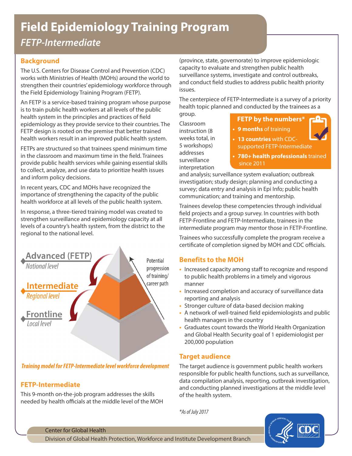# **Field Epidemiology Training Program**

*FETP-Intermediate*

# **Background**

The U.S. Centers for Disease Control and Prevention (CDC) works with Ministries of Health (MOHs) around the world to strengthen their countries' epidemiology workforce through the Field Epidemiology Training Program (FETP).

An FETP is a service-based training program whose purpose is to train public health workers at all levels of the public health system in the principles and practices of field epidemiology as they provide service to their countries. The FETP design is rooted on the premise that better trained health workers result in an improved public health system.

FETPs are structured so that trainees spend minimum time in the classroom and maximum time in the field. Trainees provide public health services while gaining essential skills to collect, analyze, and use data to prioritize health issues and inform policy decisions.

In recent years, CDC and MOHs have recognized the importance of strengthening the capacity of the public health workforce at all levels of the public health system.

In response, a three-tiered training model was created to strengthen surveillance and epidemiology capacity at all levels of a country's health system, from the district to the regional to the national level.



*Training model for FETP-Intermediate level workforce development*

# **FETP-Intermediate**

This 9-month on-the-job program addresses the skills needed by health officials at the middle level of the MOH

(province, state, governorate) to improve epidemiologic capacity to evaluate and strengthen public health surveillance systems, investigate and control outbreaks, and conduct field studies to address public health priority issues.

The centerpiece of FETP-Intermediate is a survey of a priority health topic planned and conducted by the trainees as a

group. Classroom instruction (8 weeks total, in 5 workshops) addresses surveillance interpretation

#### **FETP by the numbers\***

**• 9 months** of training



- **• 13 countries** with CDCsupported FETP-Intermediate
- **• 780+ health professionals** trained since 2011

and analysis; surveillance system evaluation; outbreak investigation; study design; planning and conducting a survey; data entry and analysis in Epi Info; public health communication; and training and mentorship.

Trainees develop these competencies through individual field projects and a group survey. In countries with both FETP-Frontline and FETP-Intermediate, trainees in the intermediate program may mentor those in FETP-Frontline.

Trainees who successfully complete the program receive a certificate of completion signed by MOH and CDC officials.

# **Benefits to the MOH**

- **•** Increased capacity among staff to recognize and respond to public health problems in a timely and vigorous manner
- **•** Increased completion and accuracy of surveillance data reporting and analysis
- **•** Stronger culture of data-based decision making
- **•** A network of well-trained field epidemiologists and public health managers in the country
- **•** Graduates count towards the World Health Organization and Global Health Security goal of 1 epidemiologist per 200,000 population

# **Target audience**

The target audience is government public health workers responsible for public health functions, such as surveillance, data compilation analysis, reporting, outbreak investigation, and conducting planned investigations at the middle level of the health system.

*\*As of July 2017*



Center for Global Health

Division of Global Health Protection, Workforce and Institute Development Branch